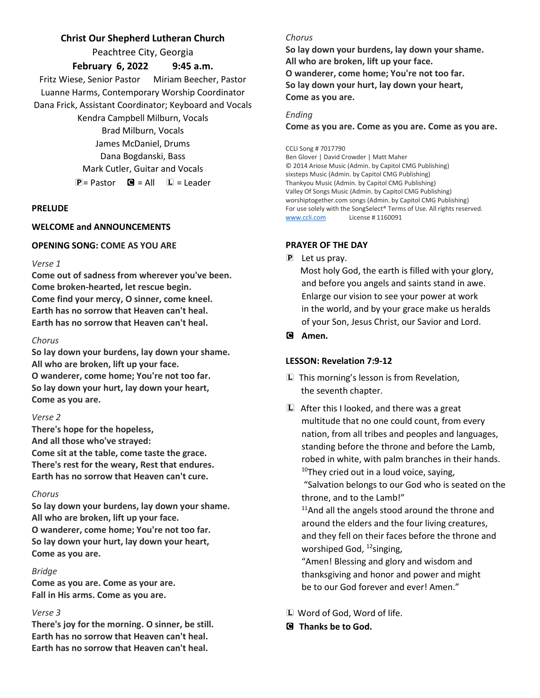# **Christ Our Shepherd Lutheran Church**

Peachtree City, Georgia

# **February 6, 2022 9:45 a.m.**

Fritz Wiese, Senior Pastor Miriam Beecher, Pastor Luanne Harms, Contemporary Worship Coordinator Dana Frick, Assistant Coordinator; Keyboard and Vocals Kendra Campbell Milburn, Vocals Brad Milburn, Vocals James McDaniel, Drums Dana Bogdanski, Bass Mark Cutler, Guitar and Vocals  $\boxed{\mathbf{P}}$  = Pastor  $\boxed{\mathbf{Q}}$  = All  $\boxed{\mathbf{L}}$  = Leader

#### **PRELUDE**

#### **WELCOME and ANNOUNCEMENTS**

#### **OPENING SONG: COME AS YOU ARE**

#### *Verse 1*

**Come out of sadness from wherever you've been. Come broken-hearted, let rescue begin. Come find your mercy, O sinner, come kneel. Earth has no sorrow that Heaven can't heal. Earth has no sorrow that Heaven can't heal.**

#### *Chorus*

**So lay down your burdens, lay down your shame. All who are broken, lift up your face. O wanderer, come home; You're not too far. So lay down your hurt, lay down your heart, Come as you are.**

#### *Verse 2*

**There's hope for the hopeless, And all those who've strayed: Come sit at the table, come taste the grace. There's rest for the weary, Rest that endures. Earth has no sorrow that Heaven can't cure.**

#### *Chorus*

**So lay down your burdens, lay down your shame. All who are broken, lift up your face. O wanderer, come home; You're not too far. So lay down your hurt, lay down your heart, Come as you are.**

#### *Bridge*

**Come as you are. Come as your are. Fall in His arms. Come as you are.**

#### *Verse 3*

**There's joy for the morning. O sinner, be still. Earth has no sorrow that Heaven can't heal. Earth has no sorrow that Heaven can't heal.**

# *Chorus*

**So lay down your burdens, lay down your shame. All who are broken, lift up your face. O wanderer, come home; You're not too far. So lay down your hurt, lay down your heart, Come as you are.**

#### *Ending*

**Come as you are. Come as you are. Come as you are.**

#### CCLI Song # 7017790

Ben Glover | David Crowder | Matt Maher © 2014 Ariose Music (Admin. by Capitol CMG Publishing) sixsteps Music (Admin. by Capitol CMG Publishing) Thankyou Music (Admin. by Capitol CMG Publishing) Valley Of Songs Music (Admin. by Capitol CMG Publishing) worshiptogether.com songs (Admin. by Capitol CMG Publishing) For use solely with the SongSelect® Terms of Use. All rights reserved.<br>www.ccli.com License #1160091  $License # 1160091$ 

# **PRAYER OF THE DAY**

P Let us pray.

 Most holy God, the earth is filled with your glory, and before you angels and saints stand in awe. Enlarge our vision to see your power at work in the world, and by your grace make us heralds of your Son, Jesus Christ, our Savior and Lord.

# C **Amen.**

# **LESSON: Revelation 7:9-12**

- L This morning's lesson is from Revelation, the seventh chapter.
- $L$  After this I looked, and there was a great multitude that no one could count, from every nation, from all tribes and peoples and languages, standing before the throne and before the Lamb, robed in white, with palm branches in their hands.  $10$ They cried out in a loud voice, saying,

"Salvation belongs to our God who is seated on the throne, and to the Lamb!"

 $11$ And all the angels stood around the throne and around the elders and the four living creatures, and they fell on their faces before the throne and worshiped God, <sup>12</sup>singing,

"Amen! Blessing and glory and wisdom and thanksgiving and honor and power and might be to our God forever and ever! Amen."

- L Word of God, Word of life.
- C **Thanks be to God.**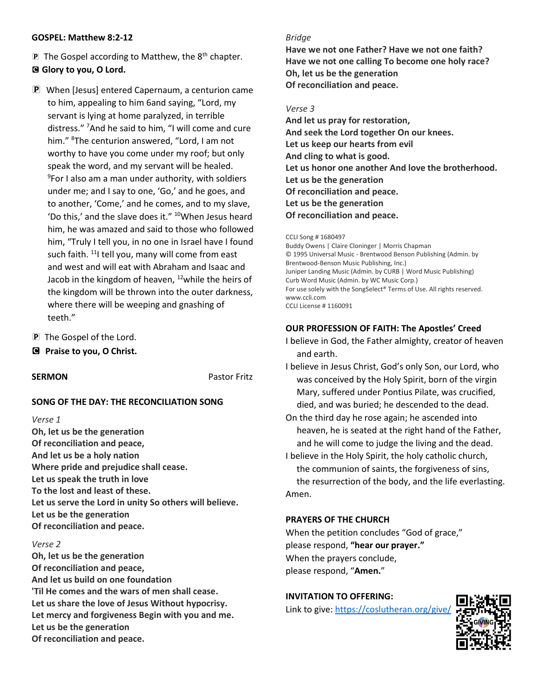#### **GOSPEL: Matthew 8:2-12**

**P** The Gospel according to Matthew, the 8<sup>th</sup> chapter.

# C **Glory to you, O Lord.**

- P When [Jesus] entered Capernaum, a centurion came to him, appealing to him 6and saying, "Lord, my servant is lying at home paralyzed, in terrible distress." <sup>7</sup>And he said to him, "I will come and cure him." <sup>8</sup>The centurion answered, "Lord, I am not worthy to have you come under my roof; but only speak the word, and my servant will be healed. 9 For I also am a man under authority, with soldiers under me; and I say to one, 'Go,' and he goes, and to another, 'Come,' and he comes, and to my slave, 'Do this,' and the slave does it."  $10$ When Jesus heard him, he was amazed and said to those who followed him, "Truly I tell you, in no one in Israel have I found such faith. <sup>11</sup>I tell you, many will come from east and west and will eat with Abraham and Isaac and Jacob in the kingdom of heaven,  $12$  while the heirs of the kingdom will be thrown into the outer darkness, where there will be weeping and gnashing of teeth."
- P The Gospel of the Lord.
- C **Praise to you, O Christ.**

**SERMON Pastor Fritz** 

# **SONG OF THE DAY: THE RECONCILIATION SONG**

*Verse 1*

**Oh, let us be the generation Of reconciliation and peace, And let us be a holy nation Where pride and prejudice shall cease. Let us speak the truth in love To the lost and least of these. Let us serve the Lord in unity So others will believe. Let us be the generation Of reconciliation and peace.**

#### *Verse 2*

**Oh, let us be the generation Of reconciliation and peace, And let us build on one foundation 'Til He comes and the wars of men shall cease. Let us share the love of Jesus Without hypocrisy. Let mercy and forgiveness Begin with you and me. Let us be the generation Of reconciliation and peace.**

# *Bridge*

**Have we not one Father? Have we not one faith? Have we not one calling To become one holy race? Oh, let us be the generation Of reconciliation and peace.**

### *Verse 3*

**And let us pray for restoration, And seek the Lord together On our knees. Let us keep our hearts from evil And cling to what is good. Let us honor one another And love the brotherhood. Let us be the generation Of reconciliation and peace. Let us be the generation Of reconciliation and peace.**

#### CCLI Song # 1680497

Buddy Owens | Claire Cloninger | Morris Chapman © 1995 Universal Music - Brentwood Benson Publishing (Admin. by Brentwood-Benson Music Publishing, Inc.) Juniper Landing Music (Admin. by CURB | Word Music Publishing) Curb Word Music (Admin. by WC Music Corp.) For use solely with the SongSelect® Terms of Use. All rights reserved. www.ccli.com CCLI License # 1160091

# **OUR PROFESSION OF FAITH: The Apostles' Creed**

I believe in God, the Father almighty, creator of heaven and earth.

- I believe in Jesus Christ, God's only Son, our Lord, who was conceived by the Holy Spirit, born of the virgin Mary, suffered under Pontius Pilate, was crucified, died, and was buried; he descended to the dead.
- On the third day he rose again; he ascended into heaven, he is seated at the right hand of the Father, and he will come to judge the living and the dead.

I believe in the Holy Spirit, the holy catholic church, the communion of saints, the forgiveness of sins, the resurrection of the body, and the life everlasting. Amen.

#### **PRAYERS OF THE CHURCH**

When the petition concludes "God of grace," please respond, **"hear our prayer."** When the prayers conclude, please respond, "**Amen.**"

# **INVITATION TO OFFERING:**

Link to give:<https://coslutheran.org/give/>

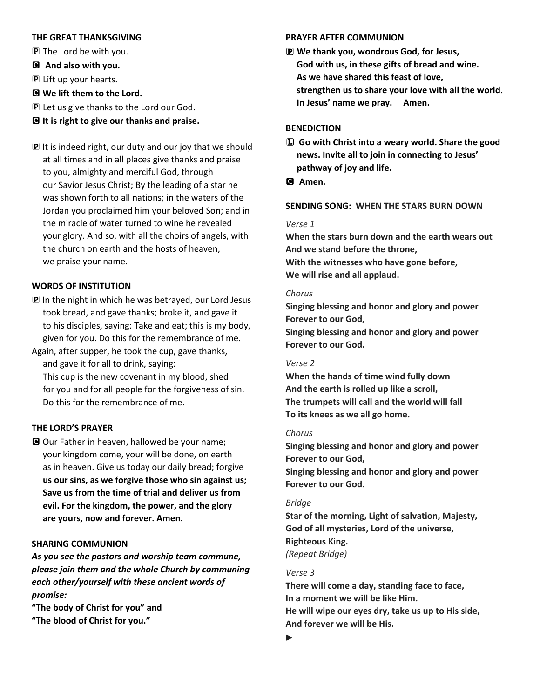#### **THE GREAT THANKSGIVING**

- P The Lord be with you.
- C **And also with you.**
- P Lift up your hearts.
- C **We lift them to the Lord.**
- **P** Let us give thanks to the Lord our God.
- C **It is right to give our thanks and praise.**
- P It is indeed right, our duty and our joy that we should at all times and in all places give thanks and praise to you, almighty and merciful God, through our Savior Jesus Christ; By the leading of a star he was shown forth to all nations; in the waters of the Jordan you proclaimed him your beloved Son; and in the miracle of water turned to wine he revealed your glory. And so, with all the choirs of angels, with the church on earth and the hosts of heaven, we praise your name.

#### **WORDS OF INSTITUTION**

- **P** In the night in which he was betrayed, our Lord Jesus took bread, and gave thanks; broke it, and gave it to his disciples, saying: Take and eat; this is my body, given for you. Do this for the remembrance of me.
- Again, after supper, he took the cup, gave thanks, and gave it for all to drink, saying: This cup is the new covenant in my blood, shed for you and for all people for the forgiveness of sin. Do this for the remembrance of me.

#### **THE LORD'S PRAYER**

C Our Father in heaven, hallowed be your name; your kingdom come, your will be done, on earth as in heaven. Give us today our daily bread; forgive  **us our sins, as we forgive those who sin against us; Save us from the time of trial and deliver us from evil. For the kingdom, the power, and the glory are yours, now and forever. Amen.** 

#### **SHARING COMMUNION**

*As you see the pastors and worship team commune, please join them and the whole Church by communing each other/yourself with these ancient words of promise:* 

**"The body of Christ for you" and "The blood of Christ for you."** 

#### **PRAYER AFTER COMMUNION**

P **We thank you, wondrous God, for Jesus, God with us, in these gifts of bread and wine. As we have shared this feast of love, strengthen us to share your love with all the world. In Jesus' name we pray. Amen.**

### **BENEDICTION**

- L **Go with Christ into a weary world. Share the good news. Invite all to join in connecting to Jesus' pathway of joy and life.**
- C **Amen.**

#### **SENDING SONG: WHEN THE STARS BURN DOWN**

#### *Verse 1*

**When the stars burn down and the earth wears out And we stand before the throne, With the witnesses who have gone before, We will rise and all applaud.**

#### *Chorus*

**Singing blessing and honor and glory and power Forever to our God, Singing blessing and honor and glory and power Forever to our God.**

#### *Verse 2*

**When the hands of time wind fully down And the earth is rolled up like a scroll, The trumpets will call and the world will fall To its knees as we all go home.**

#### *Chorus*

**Singing blessing and honor and glory and power Forever to our God, Singing blessing and honor and glory and power**

**Forever to our God.**

#### *Bridge*

**Star of the morning, Light of salvation, Majesty, God of all mysteries, Lord of the universe, Righteous King.** *(Repeat Bridge)*

#### *Verse 3*

**There will come a day, standing face to face, In a moment we will be like Him. He will wipe our eyes dry, take us up to His side, And forever we will be His.**

>